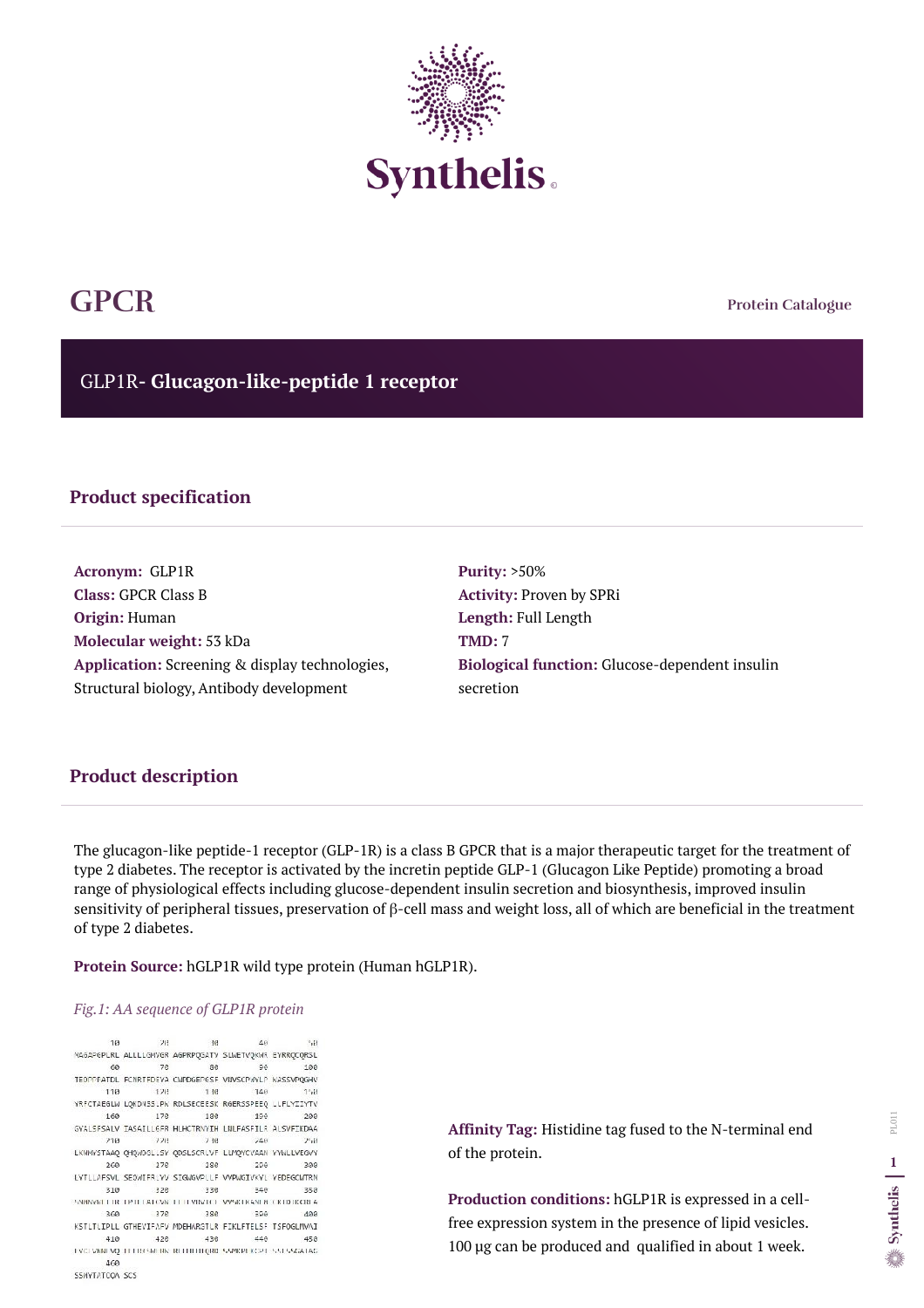**Protein Catalogue**

GLP1R**- Glucagon-like-peptide 1 receptor**



# **GPCR**

# **Product specification**

**Acronym:** GLP1R **Class:** GPCR Class B **Origin:** Human **Molecular weight:** 53 kDa **Application:** Screening & display technologies, Structural biology, Antibody development

**Purity:** >50% **Activity:** Proven by SPRi **Length:** Full Length **TMD:** 7 **Biological function:** Glucose-dependent insulin secretion

The glucagon-like peptide-1 receptor (GLP-1R) is a class B GPCR that is a major therapeutic target for the treatment of type 2 diabetes. The receptor is activated by the incretin peptide GLP-1 (Glucagon Like Peptide) promoting a broad range of physiological effects including glucose-dependent insulin secretion and biosynthesis, improved insulin sensitivity of peripheral tissues, preservation of β-cell mass and weight loss, all of which are beneficial in the treatment of type 2 diabetes.

**Protein Source:** hGLP1R wild type protein (Human hGLP1R).

## *Fig.1: AA sequence of GLP1R protein*

 $10$ 2012.00 163  $40^{1}$  $\mathbb{F}_2\{\frac{1}{2}\}$ MAGAPGPLRL ALLLLGWVGR AGPRPQGATV SLWETVQKWR EYRRQCQRSL **7e** 60 86 90 100 TEOPPPATDL FONRTFDEYA CWPDGEPGSF VIN/SCPWYLP WASSVPQGHV 110 120 130  $148$  $1 - 11$ YRFCTAEGLW LOKDNSSLPW RDLSECEESK RGERSSPEEQ LLFLYIIYTV 160 176 180 190 200 GYALSFSALV IASAILLGFR HLHCTRNYIH LNLFASFILR ALSVFIKDAA 228  $710$ 2冊  $740$  $2541$ LKWWYSTAAQ QHQWDGLLSY QDSLSCRLVF LLMQYCVAAN YYWLLVEGVY 260 276 286 -290 300 EYTLIAFSVL SEQWIFRLYV SIGWGVPLLF VVPWGIVKYL YEDEGCWTRN 310 326 340 330 350 SNANYKELER TPTELATOVK TEEFVISITET VVSKLIGNEM CKTD IKCREA. 376 388 360 390 400 KSTLTLIPLL GTHEVIFAFV MDEHARGTLR FIKLFTELSF TSFOGLMVAI 410 426 436 440 450 TYCLWNI VQ TELRICMERK RELITITIQRD SSPICPLICPT SSLSSGATAG. 460 SSMYTATCOA SCS

**Affinity Tag:** Histidine tag fused to the N-terminal end of the protein.

**Production conditions:** hGLP1R is expressed in a cellfree expression system in the presence of lipid vesicles. 100 µg can be produced and qualified in about 1 week.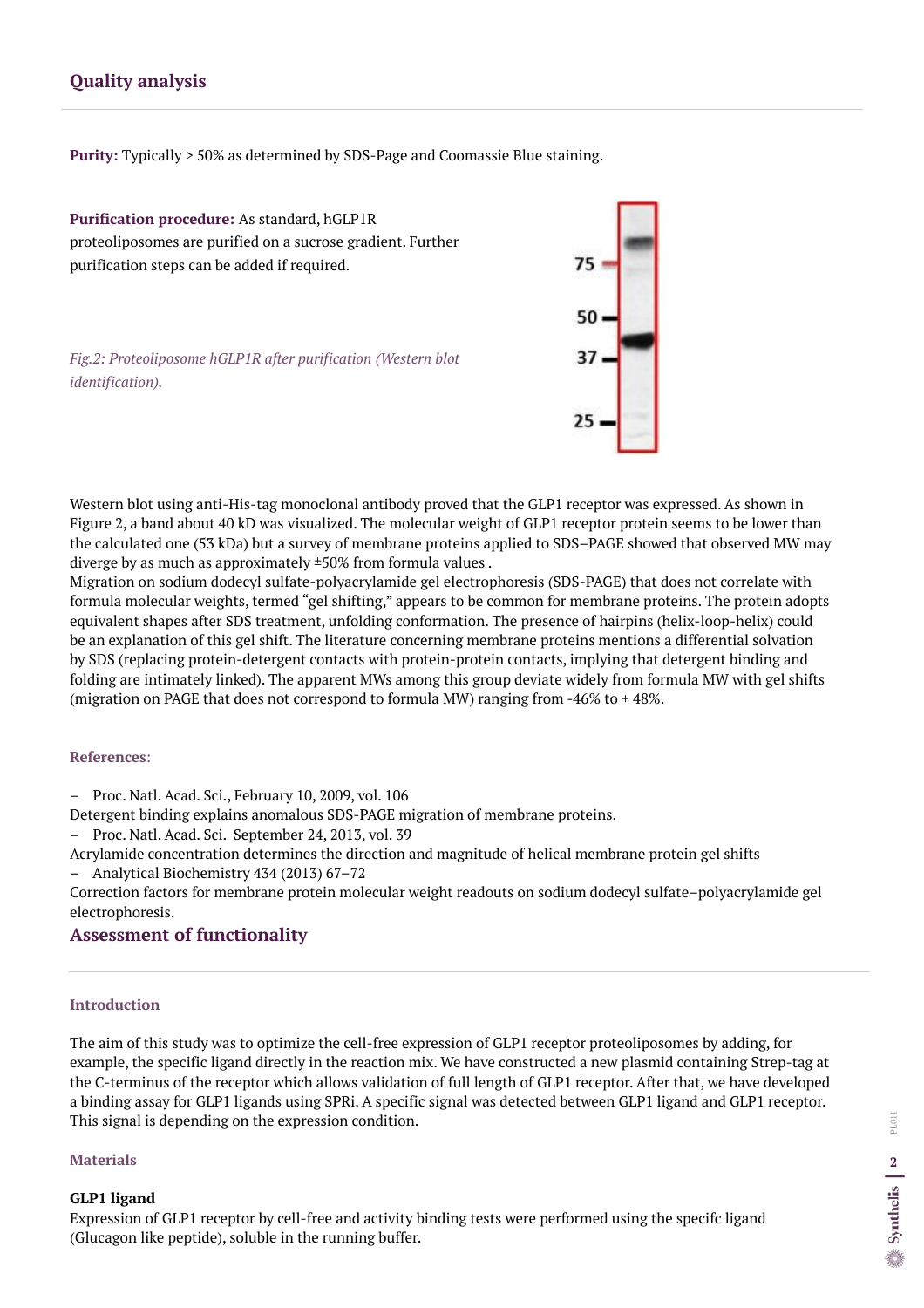# **Quality analysis**

**Purity:** Typically > 50% as determined by SDS-Page and Coomassie Blue staining.

Western blot using anti-His-tag monoclonal antibody proved that the GLP1 receptor was expressed. As shown in Figure 2, a band about 40 kD was visualized. The molecular weight of GLP1 receptor protein seems to be lower than the calculated one (53 kDa) but a survey of membrane proteins applied to SDS–PAGE showed that observed MW may diverge by as much as approximately ±50% from formula values .

Migration on sodium dodecyl sulfate-polyacrylamide gel electrophoresis (SDS-PAGE) that does not correlate with formula molecular weights, termed "gel shifting," appears to be common for membrane proteins. The protein adopts equivalent shapes after SDS treatment, unfolding conformation. The presence of hairpins (helix-loop-helix) could be an explanation of this gel shift. The literature concerning membrane proteins mentions a differential solvation by SDS (replacing protein-detergent contacts with protein-protein contacts, implying that detergent binding and folding are intimately linked). The apparent MWs among this group deviate widely from formula MW with gel shifts (migration on PAGE that does not correspond to formula MW) ranging from -46% to + 48%.

#### **References**:

– Proc. Natl. Acad. Sci., February 10, 2009, vol. 106

Detergent binding explains anomalous SDS-PAGE migration of membrane proteins.

– Proc. Natl. Acad. Sci. September 24, 2013, vol. 39

Acrylamide concentration determines the direction and magnitude of helical membrane protein gel shifts

– Analytical Biochemistry 434 (2013) 67–72

Correction factors for membrane protein molecular weight readouts on sodium dodecyl sulfate–polyacrylamide gel electrophoresis.

**Purification procedure:** As standard, hGLP1R proteoliposomes are purified on a sucrose gradient. Further purification steps can be added if required.

*Fig.2: Proteoliposome hGLP1R after purification (Western blot identification).* 



# **Assessment of functionality**

# **Introduction**

The aim of this study was to optimize the cell-free expression of GLP1 receptor proteoliposomes by adding, for example, the specific ligand directly in the reaction mix. We have constructed a new plasmid containing Strep-tag at the C-terminus of the receptor which allows validation of full length of GLP1 receptor. After that, we have developed a binding assay for GLP1 ligands using SPRi. A specific signal was detected between GLP1 ligand and GLP1 receptor. This signal is depending on the expression condition.

## **Materials**

# **GLP1 ligand**

Expression of GLP1 receptor by cell-free and activity binding tests were performed using the specifc ligand (Glucagon like peptide), soluble in the running buffer.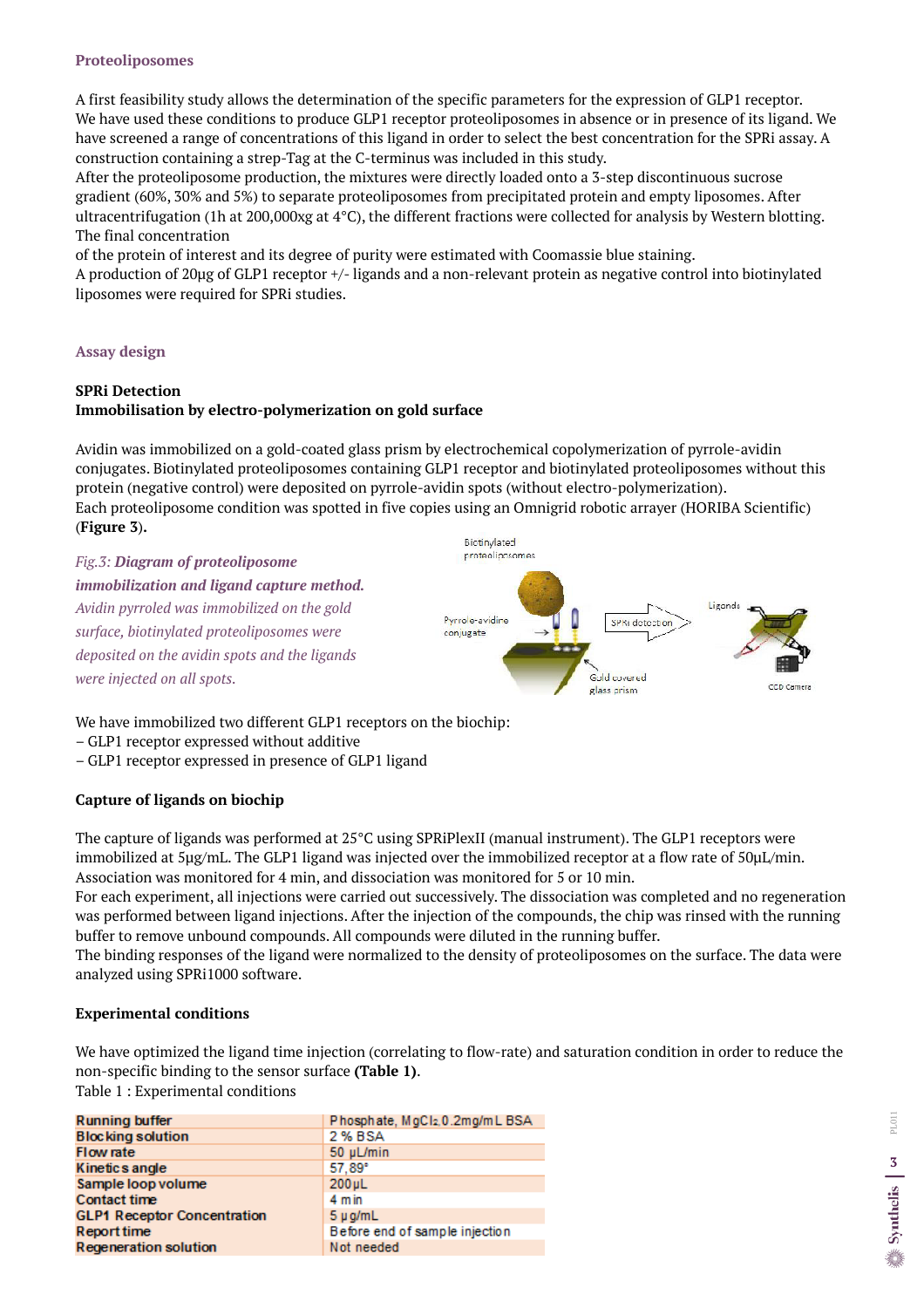### **Proteoliposomes**

A first feasibility study allows the determination of the specific parameters for the expression of GLP1 receptor. We have used these conditions to produce GLP1 receptor proteoliposomes in absence or in presence of its ligand. We have screened a range of concentrations of this ligand in order to select the best concentration for the SPRi assay. A construction containing a strep-Tag at the C-terminus was included in this study.

After the proteoliposome production, the mixtures were directly loaded onto a 3-step discontinuous sucrose gradient (60%, 30% and 5%) to separate proteoliposomes from precipitated protein and empty liposomes. After ultracentrifugation (1h at 200,000xg at 4°C), the different fractions were collected for analysis by Western blotting. The final concentration

of the protein of interest and its degree of purity were estimated with Coomassie blue staining.

A production of 20µg of GLP1 receptor +/- ligands and a non-relevant protein as negative control into biotinylated liposomes were required for SPRi studies.

## **Assay design**

# **SPRi Detection Immobilisation by electro-polymerization on gold surface**

Avidin was immobilized on a gold-coated glass prism by electrochemical copolymerization of pyrrole-avidin conjugates. Biotinylated proteoliposomes containing GLP1 receptor and biotinylated proteoliposomes without this protein (negative control) were deposited on pyrrole-avidin spots (without electro-polymerization). Each proteoliposome condition was spotted in five copies using an Omnigrid robotic arrayer (HORIBA Scientific) (**Figure 3**)**.**

# *Fig.3: Diagram of proteoliposome immobilization and ligand capture method.*

*Avidin pyrroled was immobilized on the gold surface, biotinylated proteoliposomes were deposited on the avidin spots and the ligands were injected on all spots.* 



We have immobilized two different GLP1 receptors on the biochip:

- GLP1 receptor expressed without additive
- GLP1 receptor expressed in presence of GLP1 ligand

## **Capture of ligands on biochip**

The capture of ligands was performed at 25°C using SPRiPlexII (manual instrument). The GLP1 receptors were immobilized at 5µg/mL. The GLP1 ligand was injected over the immobilized receptor at a flow rate of 50µL/min. Association was monitored for 4 min, and dissociation was monitored for 5 or 10 min.

For each experiment, all injections were carried out successively. The dissociation was completed and no regeneration was performed between ligand injections. After the injection of the compounds, the chip was rinsed with the running buffer to remove unbound compounds. All compounds were diluted in the running buffer.

The binding responses of the ligand were normalized to the density of proteoliposomes on the surface. The data were analyzed using SPRi1000 software.

## **Experimental conditions**

We have optimized the ligand time injection (correlating to flow-rate) and saturation condition in order to reduce the non-specific binding to the sensor surface **(Table 1)**.

Table 1 : Experimental conditions

| <b>Running buffer</b>              | Phosphate, MgCl2, 0.2mg/mL BSA |
|------------------------------------|--------------------------------|
| <b>Blocking solution</b>           | 2 % BSA                        |
| Flow rate                          | 50 µL/min                      |
| Kinetics angle                     | 57.89°                         |
| Sample loop volume                 | $200 \mu L$                    |
| <b>Contact time</b>                | $4 \text{ min}$                |
| <b>GLP1 Receptor Concentration</b> | $5 \mu$ g/mL                   |
| Report time                        | Before end of sample injection |
| <b>Regeneration solution</b>       | Not needed                     |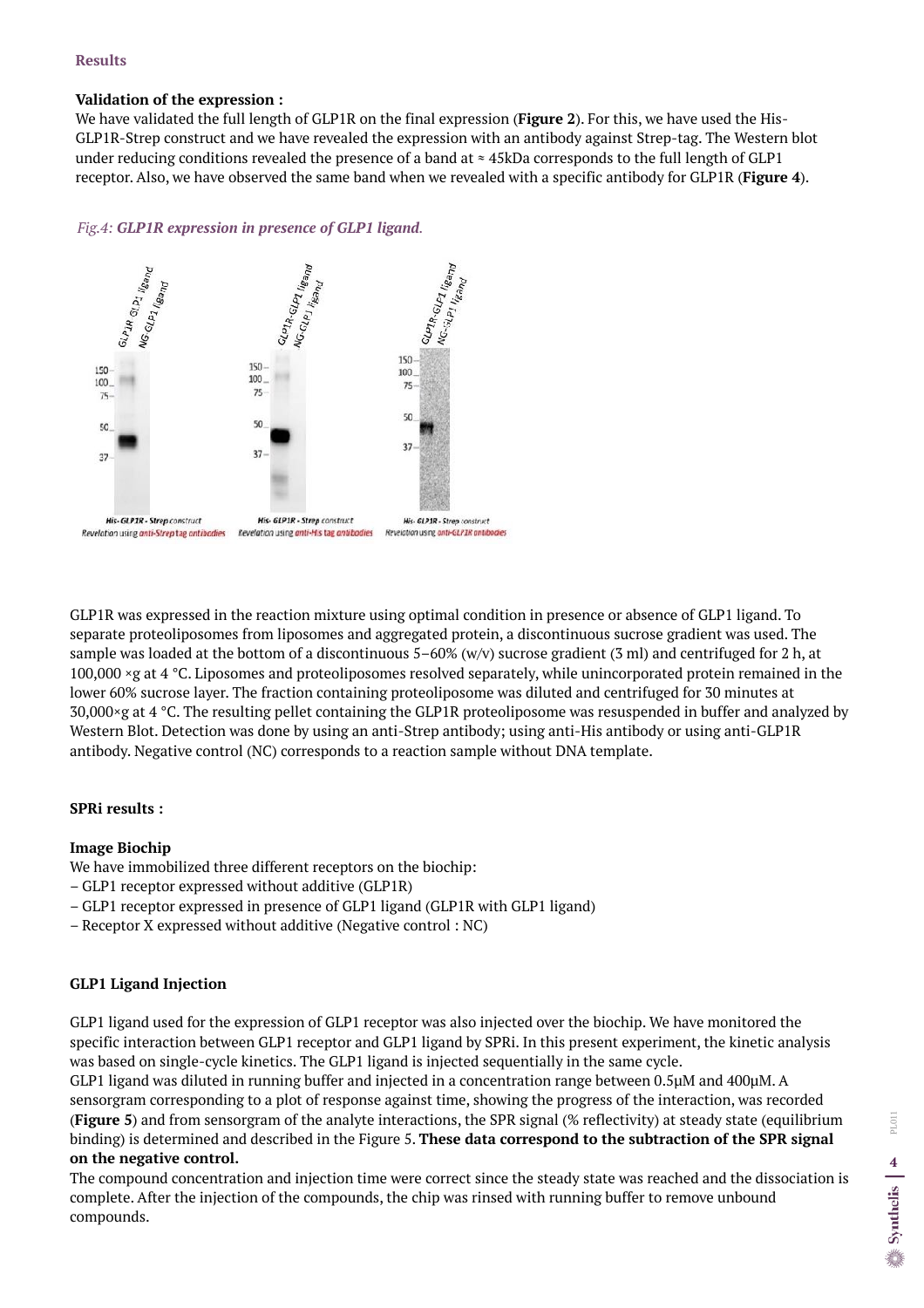## **Results**

### **Validation of the expression :**

We have validated the full length of GLP1R on the final expression (**Figure 2**). For this, we have used the His-GLP1R-Strep construct and we have revealed the expression with an antibody against Strep-tag. The Western blot under reducing conditions revealed the presence of a band at  $\approx$  45kDa corresponds to the full length of GLP1 receptor. Also, we have observed the same band when we revealed with a specific antibody for GLP1R (**Figure 4**).

# *Fig.4: GLP1R expression in presence of GLP1 ligand.*



GLP1R was expressed in the reaction mixture using optimal condition in presence or absence of GLP1 ligand. To separate proteoliposomes from liposomes and aggregated protein, a discontinuous sucrose gradient was used. The sample was loaded at the bottom of a discontinuous 5–60% (w/v) sucrose gradient (3 ml) and centrifuged for 2 h, at 100,000 ×g at 4 °C. Liposomes and proteoliposomes resolved separately, while unincorporated protein remained in the lower 60% sucrose layer. The fraction containing proteoliposome was diluted and centrifuged for 30 minutes at 30,000×g at 4 °C. The resulting pellet containing the GLP1R proteoliposome was resuspended in buffer and analyzed by Western Blot. Detection was done by using an anti-Strep antibody; using anti-His antibody or using anti-GLP1R antibody. Negative control (NC) corresponds to a reaction sample without DNA template.

# **SPRi results :**

## **Image Biochip**

We have immobilized three different receptors on the biochip:

- GLP1 receptor expressed without additive (GLP1R)
- GLP1 receptor expressed in presence of GLP1 ligand (GLP1R with GLP1 ligand)
- Receptor X expressed without additive (Negative control : NC)

# **GLP1 Ligand Injection**

GLP1 ligand used for the expression of GLP1 receptor was also injected over the biochip. We have monitored the specific interaction between GLP1 receptor and GLP1 ligand by SPRi. In this present experiment, the kinetic analysis was based on single-cycle kinetics. The GLP1 ligand is injected sequentially in the same cycle. GLP1 ligand was diluted in running buffer and injected in a concentration range between 0.5µM and 400µM. A sensorgram corresponding to a plot of response against time, showing the progress of the interaction, was recorded (**Figure 5**) and from sensorgram of the analyte interactions, the SPR signal (% reflectivity) at steady state (equilibrium binding) is determined and described in the Figure 5. **These data correspond to the subtraction of the SPR signal on the negative control.**

The compound concentration and injection time were correct since the steady state was reached and the dissociation is complete. After the injection of the compounds, the chip was rinsed with running buffer to remove unbound compounds.